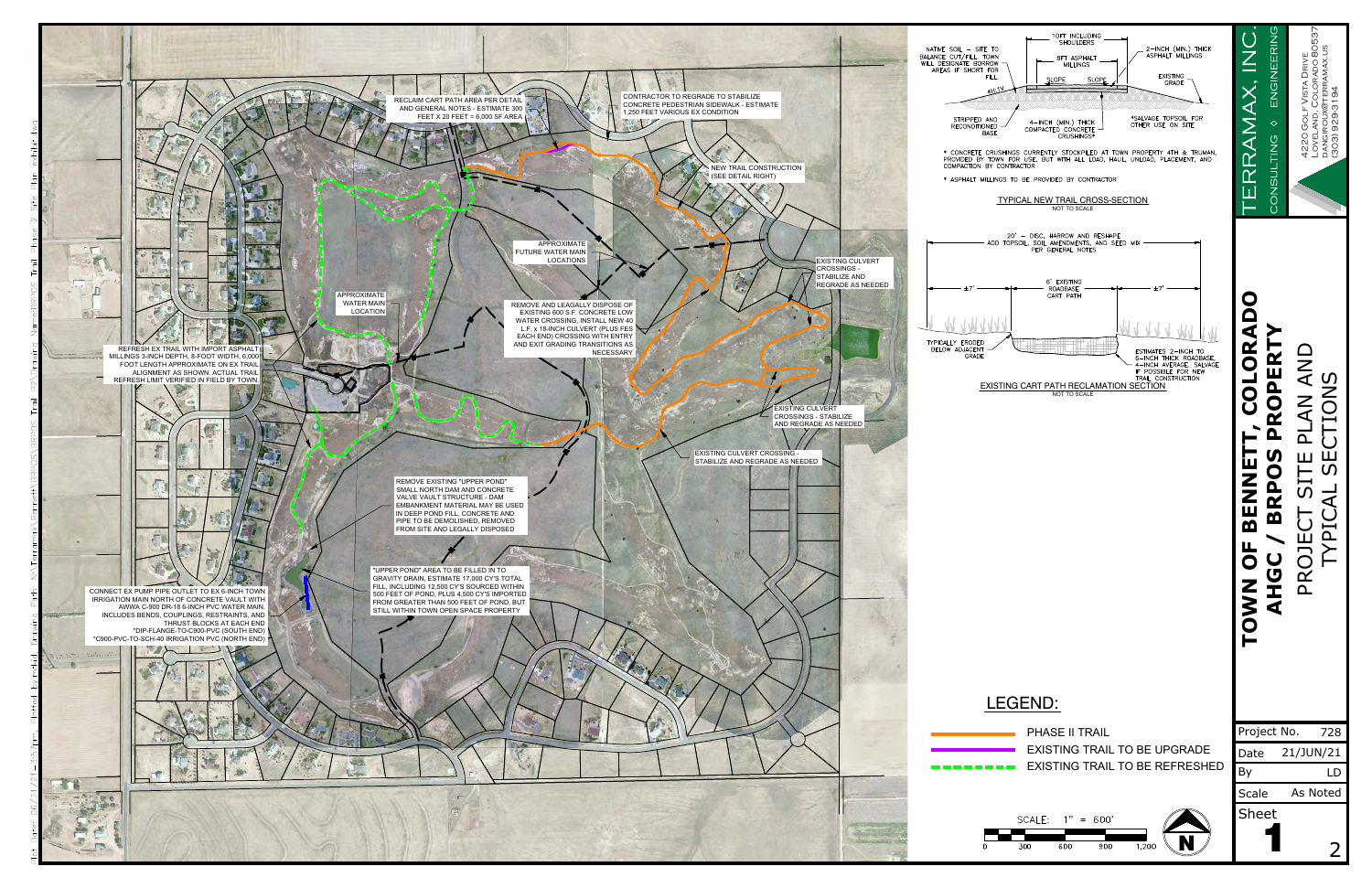